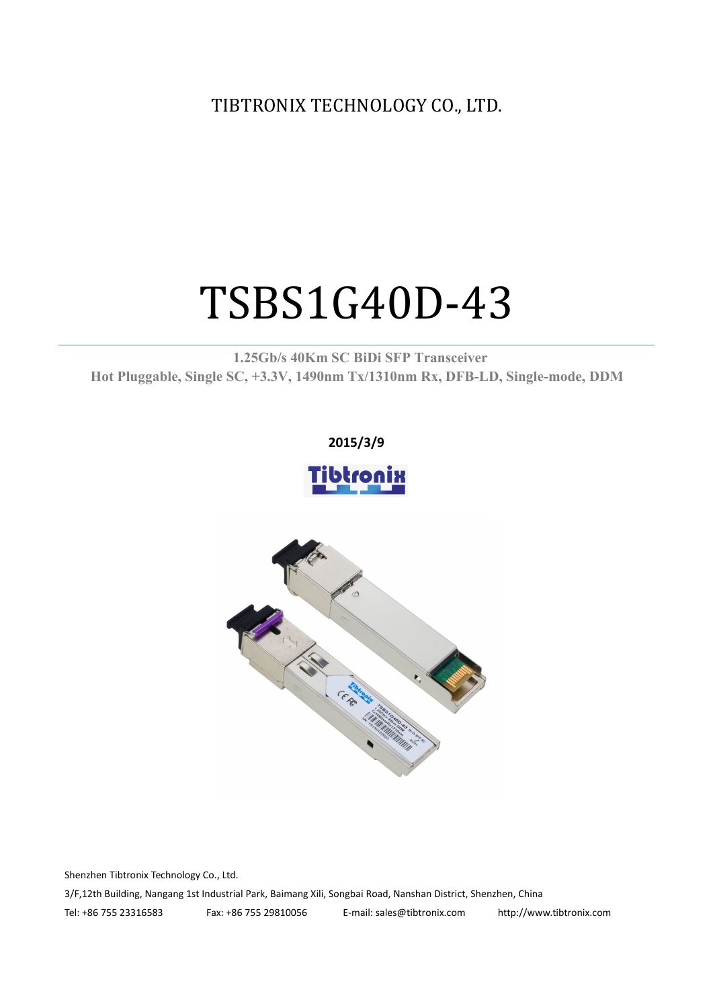TIBTRONIX TECHNOLOGY CO., LTD.

# TSBS1G40D-43

**1.25Gb/s 40Km SC BiDi SFP Transceiver Hot Pluggable, Single SC, +3.3V, 1490nm Tx/1310nm Rx, DFB-LD,Single-mode, DDM**





Shenzhen Tibtronix Technology Co., Ltd. 3/F,12th Building, Nangang 1st Industrial Park, Baimang Xili, Songbai Road, Nanshan District, Shenzhen, China Tel: +86 755 23316583 Fax: +86 755 29810056 E-mail: sales@tibtronix.com http://www.tibtronix.com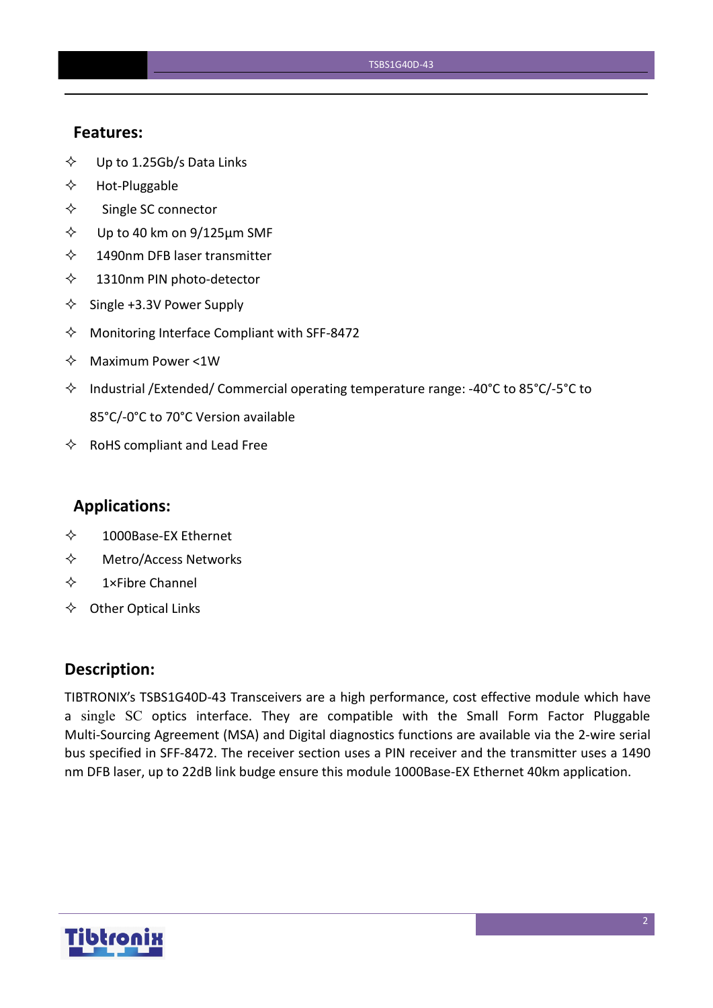#### **Features:**

- $\diamond$  Up to 1.25Gb/s Data Links
- $\Leftrightarrow$  Hot-Pluggable
- $\Leftrightarrow$  Single SC connector
- $\diamond$  Up to 40 km on 9/125 µm SMF
- $\diamond$  1490nm DFB laser transmitter
- $\diamond$  1310nm PIN photo-detector
- $\diamond$  Single +3.3V Power Supply
- $\Diamond$  Monitoring Interface Compliant with SFF-8472
- $\Leftrightarrow$  Maximum Power <1W
- $\Diamond$  Industrial /Extended/ Commercial operating temperature range: -40°C to 85°C/-5°C to 85°C/-0°C to 70°C Version available
- $\Leftrightarrow$  RoHS compliant and Lead Free

#### **Applications:**

- 1000Base-EX Ethernet
- Metro/Access Networks
- $\diamond$  1×Fibre Channel
- $\Leftrightarrow$  Other Optical Links

#### **Description:**

TIBTRONIX's TSBS1G40D-43 Transceivers are a high performance, cost effective module which have a single SC optics interface. They are compatible with the Small Form Factor Pluggable Multi-Sourcing Agreement (MSA) and Digital diagnostics functions are available via the 2-wire serial bus specified in SFF-8472. The receiver section uses a PIN receiver and the transmitter uses a 1490 nm DFB laser, up to 22dB link budge ensure this module 1000Base-EX Ethernet 40km application.

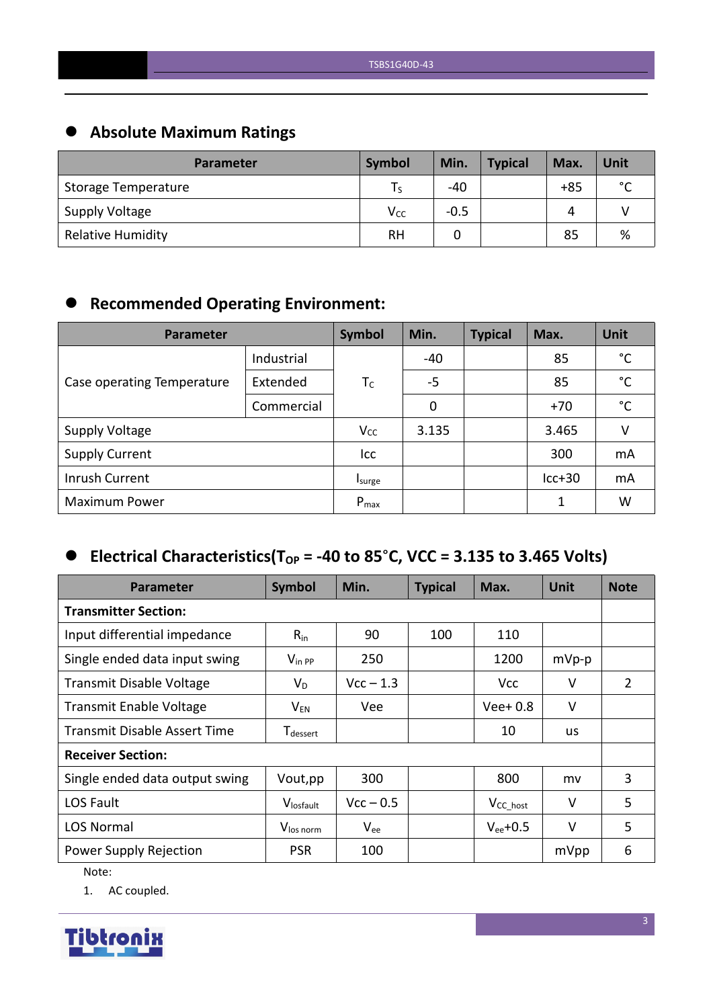# **Absolute Maximum Ratings**

| <b>Parameter</b>           | Symbol          | Min.   | <b>Typical</b> | Max.  | Unit        |
|----------------------------|-----------------|--------|----------------|-------|-------------|
| <b>Storage Temperature</b> | ١s              | $-40$  |                | $+85$ | $\sim$<br>◡ |
| <b>Supply Voltage</b>      | V <sub>CC</sub> | $-0.5$ |                | Δ     |             |
| <b>Relative Humidity</b>   | <b>RH</b>       |        |                | 85    | %           |

# **Recommended Operating Environment:**

| <b>Parameter</b>           | Symbol     | Min.      | <b>Typical</b> | Max. | Unit     |              |
|----------------------------|------------|-----------|----------------|------|----------|--------------|
|                            | Industrial |           | $-40$          |      | 85       | $^{\circ}$ C |
| Case operating Temperature | Extended   | $T_c$     | $-5$           |      | 85       | $^{\circ}$ C |
|                            | Commercial |           | 0              |      | $+70$    | $^{\circ}$ C |
| <b>Supply Voltage</b>      |            | $V_{CC}$  | 3.135          |      | 3.465    | V            |
| <b>Supply Current</b>      |            | Icc       |                |      | 300      | mA           |
| Inrush Current             |            | Isurge    |                |      | $lcc+30$ | mA           |
| <b>Maximum Power</b>       |            | $P_{max}$ |                |      | 1        | W            |

## $\bullet$  Electrical Characteristics(T<sub>OP</sub> = -40 to 85°C, VCC = 3.135 to 3.465 Volts)

| <b>Parameter</b>                    | Symbol                      | Min.        | <b>Typical</b> | Max.           | <b>Unit</b> | <b>Note</b> |  |
|-------------------------------------|-----------------------------|-------------|----------------|----------------|-------------|-------------|--|
| <b>Transmitter Section:</b>         |                             |             |                |                |             |             |  |
| Input differential impedance        | $R_{in}$                    | 90          | 100            | 110            |             |             |  |
| Single ended data input swing       | $V_{\text{in PP}}$          | 250         |                | 1200           | $mVp-p$     |             |  |
| <b>Transmit Disable Voltage</b>     | $V_D$                       | $Vcc - 1.3$ |                | <b>Vcc</b>     | V           | 2           |  |
| <b>Transmit Enable Voltage</b>      | $V_{EN}$                    | Vee         |                | $Vee+0.8$      | $\vee$      |             |  |
| <b>Transmit Disable Assert Time</b> | <b>T</b> <sub>dessert</sub> |             |                | 10             | us          |             |  |
| <b>Receiver Section:</b>            |                             |             |                |                |             |             |  |
| Single ended data output swing      | Vout, pp                    | 300         |                | 800            | mv          | 3           |  |
| LOS Fault                           | Vlosfault                   | $Vcc - 0.5$ |                | $V_{CC\_host}$ | $\vee$      | 5           |  |
| <b>LOS Normal</b>                   | V <sub>los norm</sub>       | $V_{ee}$    |                | $V_{ee}$ +0.5  | $\vee$      | 5           |  |
| Power Supply Rejection              | <b>PSR</b>                  | 100         |                |                | mVpp        | 6           |  |

Note:

1. AC coupled.

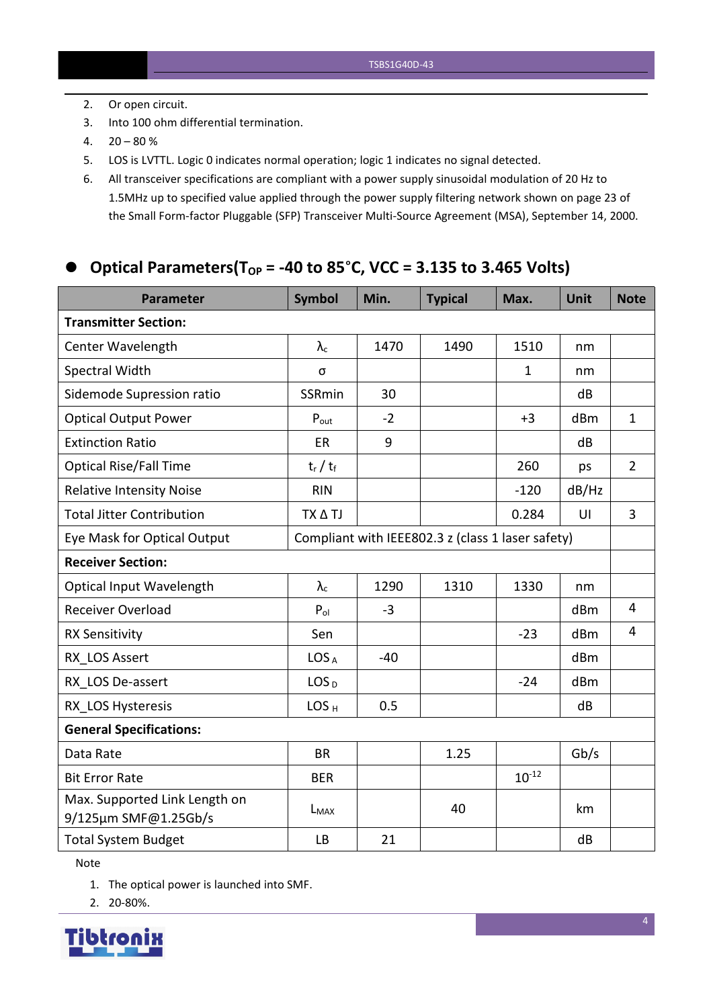- 2. Or open circuit.
- 3. Into 100 ohm differential termination.
- $4. \quad 20 80 \%$
- 5. LOS is LVTTL. Logic 0 indicates normal operation; logic 1 indicates no signal detected.
- 6. All transceiver specifications are compliant with a power supply sinusoidal modulation of 20 Hz to 1.5MHz up to specified value applied through the powersupply filtering network shown on page 23 of the Small Form-factor Pluggable (SFP) Transceiver Multi-Source Agreement (MSA), September 14, 2000.

## **Optical Parameters(TOP = -40 to 85**°**C, VCC = 3.135 to 3.465 Volts)**

| <b>Parameter</b>                                      | <b>Symbol</b>    | Min.  | <b>Typical</b>                                    | Max.         | <b>Unit</b> | <b>Note</b>    |
|-------------------------------------------------------|------------------|-------|---------------------------------------------------|--------------|-------------|----------------|
| <b>Transmitter Section:</b>                           |                  |       |                                                   |              |             |                |
| Center Wavelength                                     | $\lambda_c$      | 1470  | 1490                                              | 1510         | nm          |                |
| Spectral Width                                        | σ                |       |                                                   | $\mathbf{1}$ | nm          |                |
| Sidemode Supression ratio                             | SSRmin           | 30    |                                                   |              | dB          |                |
| <b>Optical Output Power</b>                           | $P_{\text{out}}$ | $-2$  |                                                   | $+3$         | dBm         | $\mathbf{1}$   |
| <b>Extinction Ratio</b>                               | ER               | 9     |                                                   |              | dB          |                |
| <b>Optical Rise/Fall Time</b>                         | $t_r / t_f$      |       |                                                   | 260          | ps          | $\overline{2}$ |
| <b>Relative Intensity Noise</b>                       | <b>RIN</b>       |       |                                                   | $-120$       | dB/Hz       |                |
| <b>Total Jitter Contribution</b>                      | TX A TJ          |       |                                                   | 0.284        | U           | $\overline{3}$ |
| Eye Mask for Optical Output                           |                  |       | Compliant with IEEE802.3 z (class 1 laser safety) |              |             |                |
| <b>Receiver Section:</b>                              |                  |       |                                                   |              |             |                |
| Optical Input Wavelength                              | $\lambda_c$      | 1290  | 1310                                              | 1330         | nm          |                |
| <b>Receiver Overload</b>                              | $P_{ol}$         | $-3$  |                                                   |              | dBm         | $\overline{4}$ |
| <b>RX Sensitivity</b>                                 | Sen              |       |                                                   | $-23$        | dBm         | $\overline{4}$ |
| RX LOS Assert                                         | LOS <sub>A</sub> | $-40$ |                                                   |              | dBm         |                |
| RX LOS De-assert                                      | LOS <sub>D</sub> |       |                                                   | $-24$        | dBm         |                |
| RX LOS Hysteresis                                     | LOS <sub>H</sub> | 0.5   |                                                   |              | dB          |                |
| <b>General Specifications:</b>                        |                  |       |                                                   |              |             |                |
| Data Rate                                             | <b>BR</b>        |       | 1.25                                              |              | Gb/s        |                |
| <b>Bit Error Rate</b>                                 | <b>BER</b>       |       |                                                   | $10^{-12}$   |             |                |
| Max. Supported Link Length on<br>9/125µm SMF@1.25Gb/s | $L_{MAX}$        |       | 40                                                |              | km          |                |
| <b>Total System Budget</b>                            | LB               | 21    |                                                   |              | dB          |                |

Note

1. The optical power is launched into SMF.

2. 20-80%.

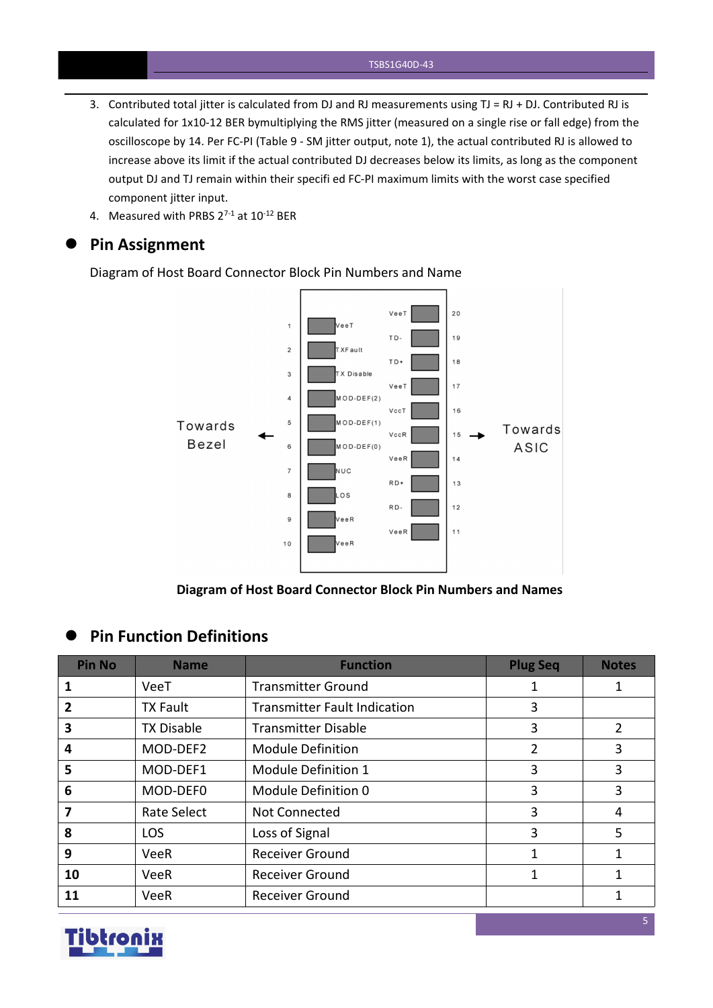- 3. Contributed total jitter is calculated from DJ and RJ measurements using  $TJ = RJ + DJ$ . Contributed RJ is calculated for 1x10-12 BER bymultiplying the RMS jitter (measured on a single rise or fall edge) from the oscilloscope by 14. Per FC-PI (Table 9 - SM jitter output, note 1), the actual contributed RJ is allowed to increase above its limit if the actual contributed DJ decreases below its limits, as long as the component output DJ and TJ remain within their specifi ed FC-PI maximum limits with the worst case specified component jitter input.
- 4. Measured with PRBS  $2^{7-1}$  at  $10^{-12}$  BER

#### **Pin Assignment**

Diagram of Host Board Connector Block Pin Numbers and Name



**Diagram of Host Board Connector Block Pin Numbers and Names**

#### **Pin Function Definitions**

| <b>Pin No</b>           | <b>Name</b>        | <b>Function</b>                     | <b>Plug Seq</b> | <b>Notes</b>   |
|-------------------------|--------------------|-------------------------------------|-----------------|----------------|
|                         | VeeT               | <b>Transmitter Ground</b>           |                 |                |
| $\overline{2}$          | <b>TX Fault</b>    | <b>Transmitter Fault Indication</b> | 3               |                |
| $\overline{\mathbf{3}}$ | <b>TX Disable</b>  | <b>Transmitter Disable</b>          | 3               | $\overline{2}$ |
| 4                       | MOD-DEF2           | <b>Module Definition</b>            | $\overline{2}$  | 3              |
| 5                       | MOD-DEF1           | Module Definition 1                 | 3               | 3              |
| -6                      | MOD-DEF0           | Module Definition 0                 | 3               | 3              |
|                         | <b>Rate Select</b> | Not Connected                       | 3               | 4              |
| 8                       | <b>LOS</b>         | Loss of Signal                      | 3               | 5              |
| 9                       | <b>VeeR</b>        | <b>Receiver Ground</b>              |                 |                |
| 10                      | <b>VeeR</b>        | <b>Receiver Ground</b>              |                 |                |
| 11                      | VeeR               | <b>Receiver Ground</b>              |                 |                |

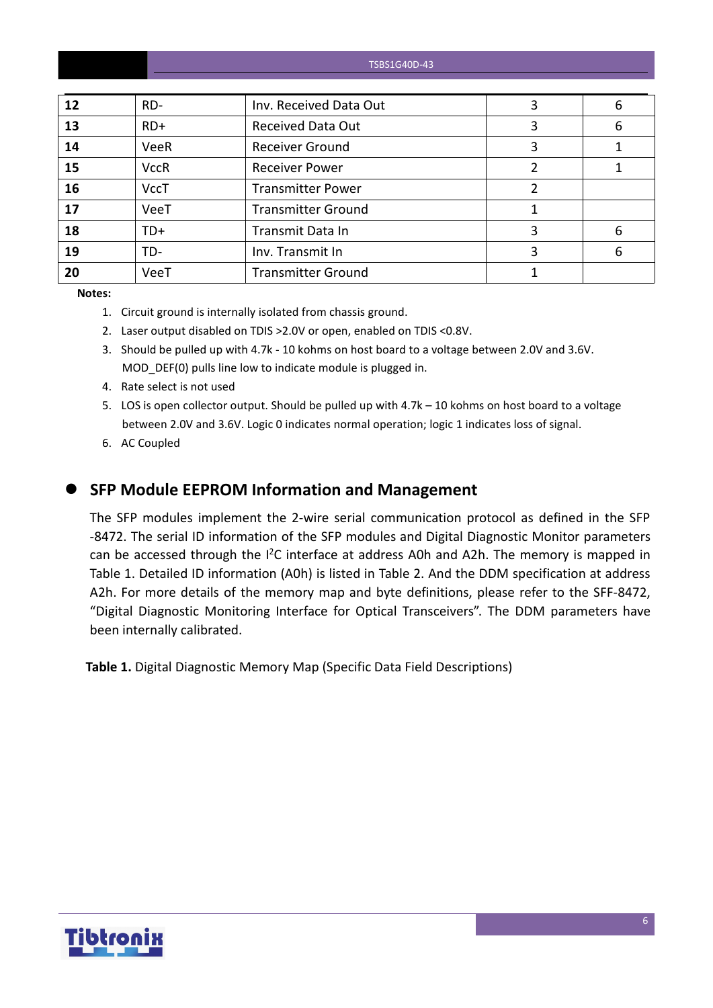| 12 | $RD-$       | Inv. Received Data Out    | 3 | 6 |
|----|-------------|---------------------------|---|---|
| 13 | $RD+$       | <b>Received Data Out</b>  | 3 | 6 |
| 14 | VeeR        | <b>Receiver Ground</b>    | 3 |   |
| 15 | <b>VccR</b> | <b>Receiver Power</b>     |   |   |
| 16 | <b>VccT</b> | <b>Transmitter Power</b>  |   |   |
| 17 | VeeT        | <b>Transmitter Ground</b> |   |   |
| 18 | TD+         | Transmit Data In          | 3 | 6 |
| 19 | TD-         | Inv. Transmit In          | 3 | 6 |
| 20 | VeeT        | <b>Transmitter Ground</b> |   |   |

**Notes:**

- 1. Circuit ground is internally isolated from chassis ground.
- 2. Laser output disabled on TDIS >2.0V or open, enabled on TDIS <0.8V.
- 3. Should be pulled up with 4.7k 10 kohms on host board to a voltage between 2.0V and 3.6V. MOD\_DEF(0) pulls line low to indicate module is plugged in.
- 4. Rate select is not used
- 5. LOS is open collector output. Should be pulled up with 4.7k 10 kohms on host board to a voltage between 2.0V and 3.6V. Logic 0 indicates normal operation; logic 1 indicates loss of signal.
- 6. AC Coupled
- 

#### **SFP Module EEPROM Information and Management**

The SFP modules implement the 2-wire serial communication protocol as defined in the SFP -8472. The serial ID information of the SFP modules and Digital Diagnostic Monitor parameters can be accessed through the I<sup>2</sup>C interface at address A0h and A2h. The memory is mapped in Table 1. Detailed ID information (A0h) is listed in Table 2. And the DDM specification at address A2h. For more details of the memory map and byte definitions, please refer to the SFF-8472, "Digital Diagnostic Monitoring Interface for Optical Transceivers". The DDM parameters have been internally calibrated.

**Table 1.** Digital Diagnostic Memory Map (Specific Data Field Descriptions)

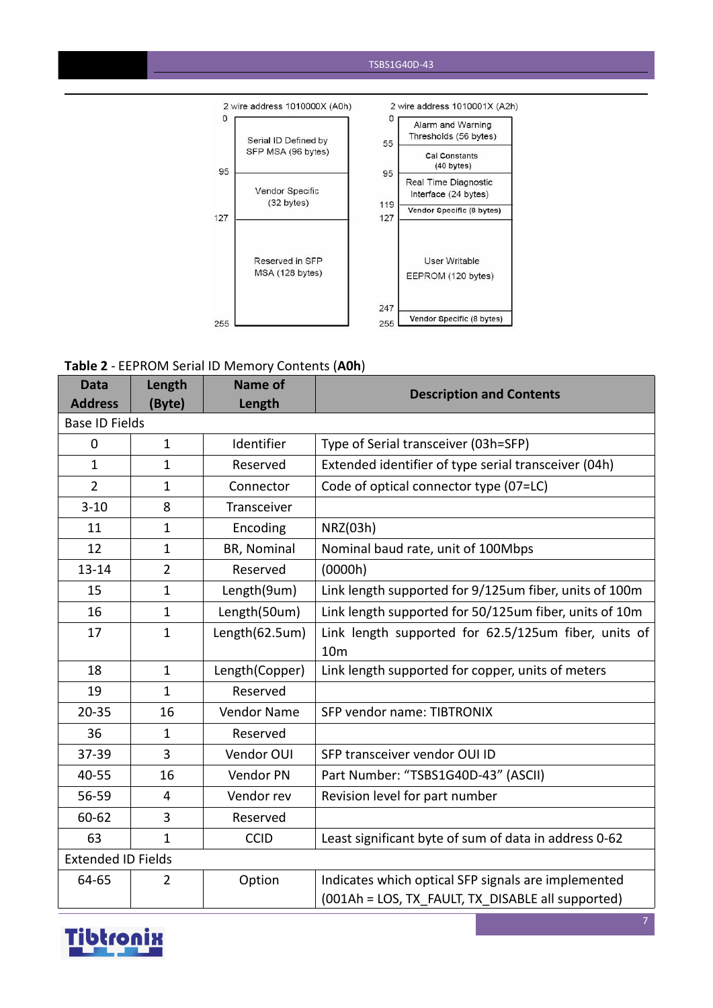

#### **Table 2** - EEPROM Serial ID Memory Contents (**A0h**)

| <b>Data</b>               | Length         | Name of        | <b>Description and Contents</b>                        |
|---------------------------|----------------|----------------|--------------------------------------------------------|
| <b>Address</b>            | (Byte)         | Length         |                                                        |
| <b>Base ID Fields</b>     |                |                |                                                        |
| $\mathbf 0$               | $\mathbf{1}$   | Identifier     | Type of Serial transceiver (03h=SFP)                   |
| $\mathbf{1}$              | $\mathbf{1}$   | Reserved       | Extended identifier of type serial transceiver (04h)   |
| $\overline{2}$            | 1              | Connector      | Code of optical connector type (07=LC)                 |
| $3 - 10$                  | 8              | Transceiver    |                                                        |
| 11                        | $\mathbf{1}$   | Encoding       | NRZ(03h)                                               |
| 12                        | $\mathbf{1}$   | BR, Nominal    | Nominal baud rate, unit of 100Mbps                     |
| $13 - 14$                 | $\overline{2}$ | Reserved       | (0000h)                                                |
| 15                        | $\mathbf{1}$   | Length(9um)    | Link length supported for 9/125um fiber, units of 100m |
| 16                        | $\mathbf{1}$   | Length(50um)   | Link length supported for 50/125um fiber, units of 10m |
| 17                        | $\mathbf{1}$   | Length(62.5um) | Link length supported for 62.5/125um fiber, units of   |
|                           |                |                | 10 <sub>m</sub>                                        |
| 18                        | $\mathbf{1}$   | Length(Copper) | Link length supported for copper, units of meters      |
| 19                        | $\mathbf{1}$   | Reserved       |                                                        |
| $20 - 35$                 | 16             | Vendor Name    | SFP vendor name: TIBTRONIX                             |
| 36                        | $\mathbf{1}$   | Reserved       |                                                        |
| 37-39                     | 3              | Vendor OUI     | SFP transceiver vendor OUI ID                          |
| 40-55                     | 16             | Vendor PN      | Part Number: "TSBS1G40D-43" (ASCII)                    |
| 56-59                     | $\overline{4}$ | Vendor rev     | Revision level for part number                         |
| 60-62                     | 3              | Reserved       |                                                        |
| 63                        | $\mathbf{1}$   | <b>CCID</b>    | Least significant byte of sum of data in address 0-62  |
| <b>Extended ID Fields</b> |                |                |                                                        |
| 64-65                     | $\overline{2}$ | Option         | Indicates which optical SFP signals are implemented    |
|                           |                |                | (001Ah = LOS, TX FAULT, TX DISABLE all supported)      |

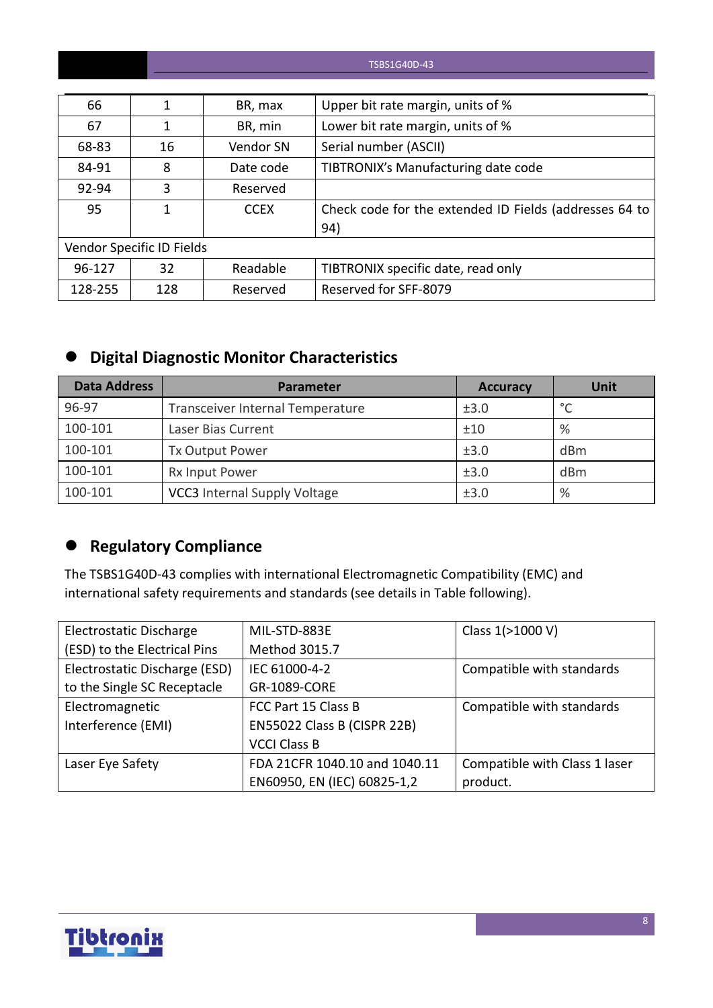| 66      |                           | BR, max     | Upper bit rate margin, units of %                      |
|---------|---------------------------|-------------|--------------------------------------------------------|
| 67      |                           | BR, min     | Lower bit rate margin, units of %                      |
| 68-83   | 16                        | Vendor SN   | Serial number (ASCII)                                  |
| 84-91   | 8                         | Date code   | TIBTRONIX's Manufacturing date code                    |
| 92-94   | 3                         | Reserved    |                                                        |
| 95      |                           | <b>CCEX</b> | Check code for the extended ID Fields (addresses 64 to |
|         |                           |             | 94)                                                    |
|         | Vendor Specific ID Fields |             |                                                        |
| 96-127  | 32                        | Readable    | TIBTRONIX specific date, read only                     |
| 128-255 | 128                       | Reserved    | Reserved for SFF-8079                                  |

## **Digital Diagnostic Monitor Characteristics**

| <b>Data Address</b> | <b>Parameter</b>                    | <b>Accuracy</b> | Unit    |
|---------------------|-------------------------------------|-----------------|---------|
| 96-97               | Transceiver Internal Temperature    | ±3.0            | $\circ$ |
| 100-101             | Laser Bias Current                  | ±10             | %       |
| 100-101             | <b>Tx Output Power</b>              | ±3.0            | dBm     |
| 100-101             | Rx Input Power                      | ±3.0            | dBm     |
| 100-101             | <b>VCC3</b> Internal Supply Voltage | ±3.0            | %       |

## **Regulatory Compliance**

The TSBS1G40D-43 complies with international Electromagnetic Compatibility (EMC) and international safety requirements and standards (see details in Table following).

| Electrostatic Discharge       | MIL-STD-883E                  | Class 1(>1000 V)              |
|-------------------------------|-------------------------------|-------------------------------|
| (ESD) to the Electrical Pins  | Method 3015.7                 |                               |
| Electrostatic Discharge (ESD) | IEC 61000-4-2                 | Compatible with standards     |
| to the Single SC Receptacle   | GR-1089-CORE                  |                               |
| Electromagnetic               | FCC Part 15 Class B           | Compatible with standards     |
| Interference (EMI)            | EN55022 Class B (CISPR 22B)   |                               |
|                               | <b>VCCI Class B</b>           |                               |
| Laser Eye Safety              | FDA 21CFR 1040.10 and 1040.11 | Compatible with Class 1 laser |
|                               | EN60950, EN (IEC) 60825-1,2   | product.                      |

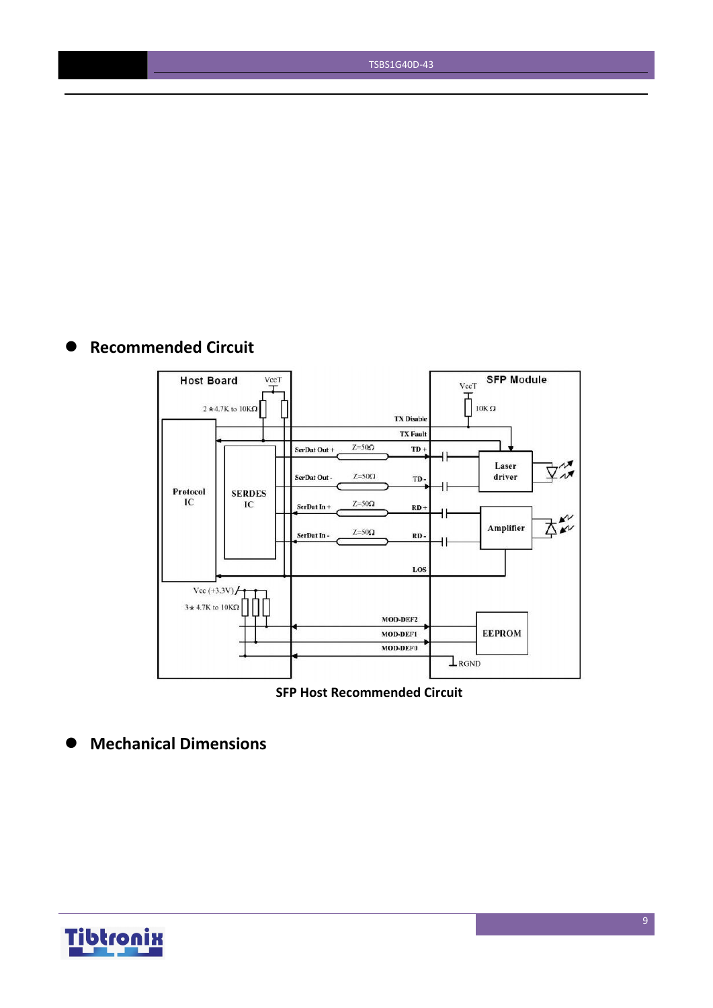## **Recommended Circuit**



**SFP Host Recommended Circuit**

**Mechanical Dimensions**